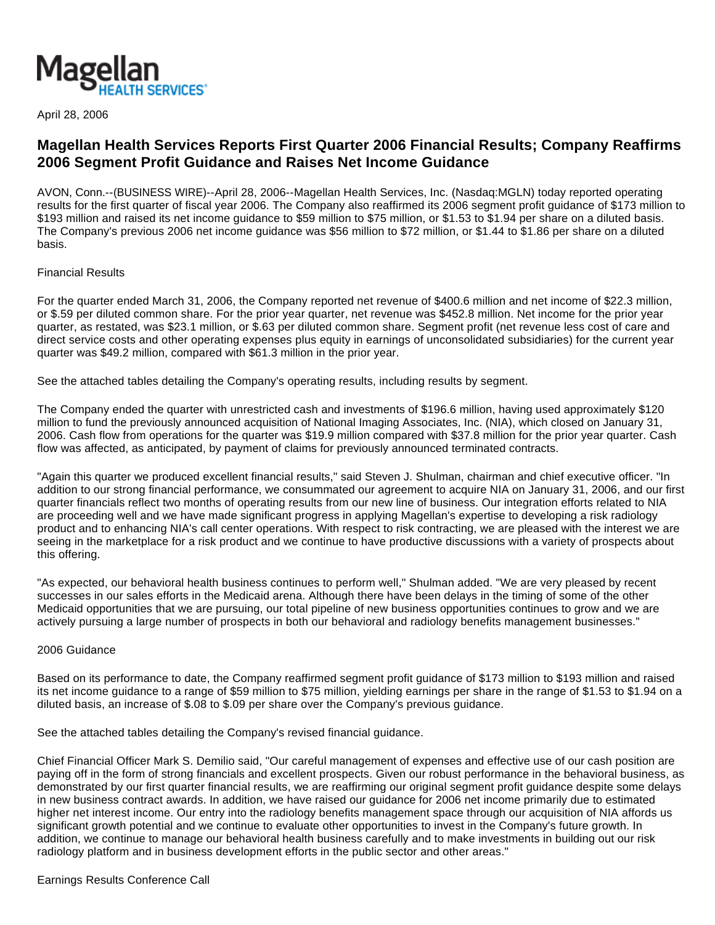

April 28, 2006

# **Magellan Health Services Reports First Quarter 2006 Financial Results; Company Reaffirms 2006 Segment Profit Guidance and Raises Net Income Guidance**

AVON, Conn.--(BUSINESS WIRE)--April 28, 2006--Magellan Health Services, Inc. (Nasdaq:MGLN) today reported operating results for the first quarter of fiscal year 2006. The Company also reaffirmed its 2006 segment profit guidance of \$173 million to \$193 million and raised its net income guidance to \$59 million to \$75 million, or \$1.53 to \$1.94 per share on a diluted basis. The Company's previous 2006 net income guidance was \$56 million to \$72 million, or \$1.44 to \$1.86 per share on a diluted basis.

## Financial Results

For the quarter ended March 31, 2006, the Company reported net revenue of \$400.6 million and net income of \$22.3 million, or \$.59 per diluted common share. For the prior year quarter, net revenue was \$452.8 million. Net income for the prior year quarter, as restated, was \$23.1 million, or \$.63 per diluted common share. Segment profit (net revenue less cost of care and direct service costs and other operating expenses plus equity in earnings of unconsolidated subsidiaries) for the current year quarter was \$49.2 million, compared with \$61.3 million in the prior year.

See the attached tables detailing the Company's operating results, including results by segment.

The Company ended the quarter with unrestricted cash and investments of \$196.6 million, having used approximately \$120 million to fund the previously announced acquisition of National Imaging Associates, Inc. (NIA), which closed on January 31, 2006. Cash flow from operations for the quarter was \$19.9 million compared with \$37.8 million for the prior year quarter. Cash flow was affected, as anticipated, by payment of claims for previously announced terminated contracts.

"Again this quarter we produced excellent financial results," said Steven J. Shulman, chairman and chief executive officer. "In addition to our strong financial performance, we consummated our agreement to acquire NIA on January 31, 2006, and our first quarter financials reflect two months of operating results from our new line of business. Our integration efforts related to NIA are proceeding well and we have made significant progress in applying Magellan's expertise to developing a risk radiology product and to enhancing NIA's call center operations. With respect to risk contracting, we are pleased with the interest we are seeing in the marketplace for a risk product and we continue to have productive discussions with a variety of prospects about this offering.

"As expected, our behavioral health business continues to perform well," Shulman added. "We are very pleased by recent successes in our sales efforts in the Medicaid arena. Although there have been delays in the timing of some of the other Medicaid opportunities that we are pursuing, our total pipeline of new business opportunities continues to grow and we are actively pursuing a large number of prospects in both our behavioral and radiology benefits management businesses."

#### 2006 Guidance

Based on its performance to date, the Company reaffirmed segment profit guidance of \$173 million to \$193 million and raised its net income guidance to a range of \$59 million to \$75 million, yielding earnings per share in the range of \$1.53 to \$1.94 on a diluted basis, an increase of \$.08 to \$.09 per share over the Company's previous guidance.

See the attached tables detailing the Company's revised financial guidance.

Chief Financial Officer Mark S. Demilio said, "Our careful management of expenses and effective use of our cash position are paying off in the form of strong financials and excellent prospects. Given our robust performance in the behavioral business, as demonstrated by our first quarter financial results, we are reaffirming our original segment profit guidance despite some delays in new business contract awards. In addition, we have raised our guidance for 2006 net income primarily due to estimated higher net interest income. Our entry into the radiology benefits management space through our acquisition of NIA affords us significant growth potential and we continue to evaluate other opportunities to invest in the Company's future growth. In addition, we continue to manage our behavioral health business carefully and to make investments in building out our risk radiology platform and in business development efforts in the public sector and other areas."

#### Earnings Results Conference Call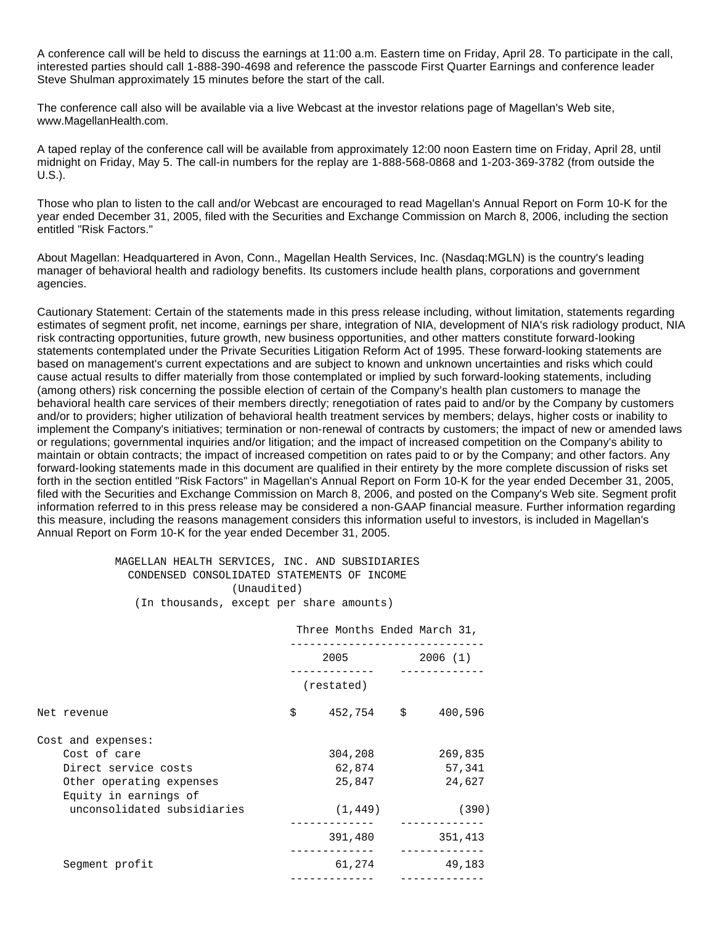A conference call will be held to discuss the earnings at 11:00 a.m. Eastern time on Friday, April 28. To participate in the call, interested parties should call 1-888-390-4698 and reference the passcode First Quarter Earnings and conference leader Steve Shulman approximately 15 minutes before the start of the call.

The conference call also will be available via a live Webcast at the investor relations page of Magellan's Web site, www.MagellanHealth.com.

A taped replay of the conference call will be available from approximately 12:00 noon Eastern time on Friday, April 28, until midnight on Friday, May 5. The call-in numbers for the replay are 1-888-568-0868 and 1-203-369-3782 (from outside the U.S.).

Those who plan to listen to the call and/or Webcast are encouraged to read Magellan's Annual Report on Form 10-K for the year ended December 31, 2005, filed with the Securities and Exchange Commission on March 8, 2006, including the section entitled "Risk Factors."

About Magellan: Headquartered in Avon, Conn., Magellan Health Services, Inc. (Nasdaq:MGLN) is the country's leading manager of behavioral health and radiology benefits. Its customers include health plans, corporations and government agencies.

Cautionary Statement: Certain of the statements made in this press release including, without limitation, statements regarding estimates of segment profit, net income, earnings per share, integration of NIA, development of NIA's risk radiology product, NIA risk contracting opportunities, future growth, new business opportunities, and other matters constitute forward-looking statements contemplated under the Private Securities Litigation Reform Act of 1995. These forward-looking statements are based on management's current expectations and are subject to known and unknown uncertainties and risks which could cause actual results to differ materially from those contemplated or implied by such forward-looking statements, including (among others) risk concerning the possible election of certain of the Company's health plan customers to manage the behavioral health care services of their members directly; renegotiation of rates paid to and/or by the Company by customers and/or to providers; higher utilization of behavioral health treatment services by members; delays, higher costs or inability to implement the Company's initiatives; termination or non-renewal of contracts by customers; the impact of new or amended laws or regulations; governmental inquiries and/or litigation; and the impact of increased competition on the Company's ability to maintain or obtain contracts; the impact of increased competition on rates paid to or by the Company; and other factors. Any forward-looking statements made in this document are qualified in their entirety by the more complete discussion of risks set forth in the section entitled "Risk Factors" in Magellan's Annual Report on Form 10-K for the year ended December 31, 2005, filed with the Securities and Exchange Commission on March 8, 2006, and posted on the Company's Web site. Segment profit information referred to in this press release may be considered a non-GAAP financial measure. Further information regarding this measure, including the reasons management considers this information useful to investors, is included in Magellan's Annual Report on Form 10-K for the year ended December 31, 2005.

### MAGELLAN HEALTH SERVICES, INC. AND SUBSIDIARIES CONDENSED CONSOLIDATED STATEMENTS OF INCOME (Unaudited) (In thousands, except per share amounts)

|                                                   | Three Months Ended March 31, |                      |
|---------------------------------------------------|------------------------------|----------------------|
|                                                   | 2005                         | 2006 (1)             |
|                                                   | (restated)                   |                      |
| Net revenue                                       | \$<br>452,754 \$             | 400,596              |
| Cost and expenses:                                |                              |                      |
| Cost of care                                      | 304,208                      | 269,835              |
| Direct service costs                              | 62,874                       | 57,341               |
| Other operating expenses<br>Equity in earnings of | 25,847                       | 24,627               |
| unconsolidated subsidiaries                       | (1, 449)                     | (390)                |
|                                                   | 391,480                      | 351,413<br>--------- |
| Segment profit                                    | 61,274                       | 49,183               |
|                                                   |                              |                      |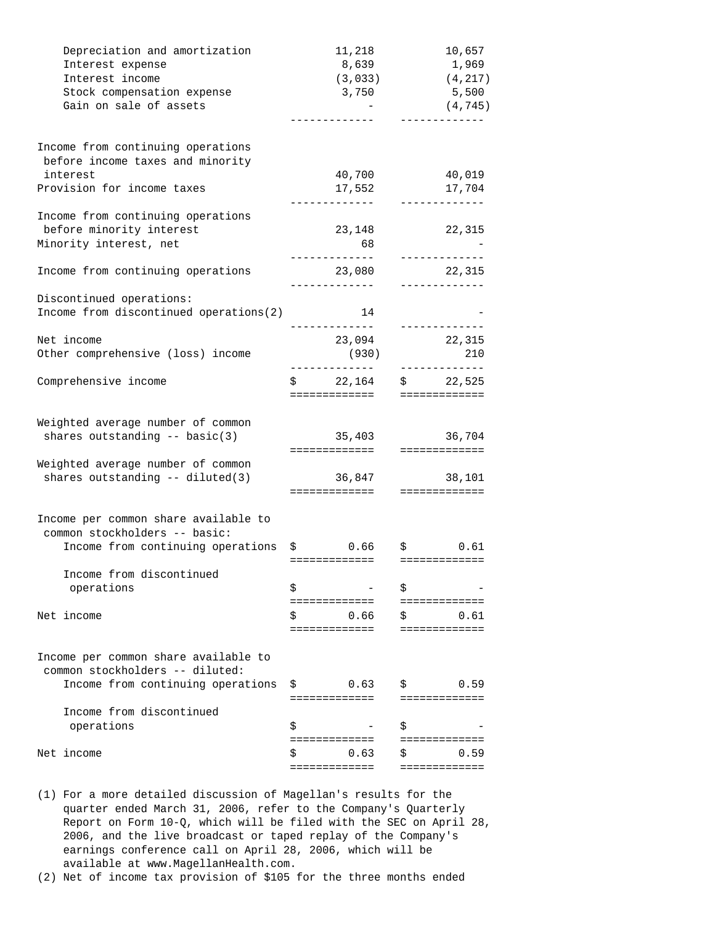| Depreciation and amortization          | 11,218                                   | 10,657                  |
|----------------------------------------|------------------------------------------|-------------------------|
| Interest expense                       | 8,639                                    | 1,969                   |
| Interest income                        | (3, 033)                                 | (4, 217)                |
| Stock compensation expense             | 3,750                                    | 5,500                   |
| Gain on sale of assets                 |                                          | (4, 745)                |
|                                        |                                          |                         |
| Income from continuing operations      |                                          |                         |
| before income taxes and minority       |                                          |                         |
| interest                               | 40,700                                   | 40,019                  |
| Provision for income taxes             | 17,552<br>. _ _ _ _ _ _ _ _ _ _ _ _      | 17,704<br>_____________ |
| Income from continuing operations      |                                          |                         |
| before minority interest               | 23,148                                   | 22,315                  |
| Minority interest, net                 | 68                                       |                         |
|                                        |                                          | -------------           |
| Income from continuing operations      | 23,080<br>-------------                  | 22,315<br>-----------   |
| Discontinued operations:               |                                          |                         |
| Income from discontinued operations(2) | 14                                       |                         |
| Net income                             | . <u>_ _ _ _ _ _ _ _ _ _ _</u><br>23,094 | -------------<br>22,315 |
| Other comprehensive (loss) income      | (930)                                    | 210                     |
|                                        | ---------------                          | -------------           |
| Comprehensive income                   | \$22,164                                 | \$22,525                |
|                                        | =============                            | =============           |
| Weighted average number of common      |                                          |                         |
| shares outstanding $--$ basic(3)       | 35,403                                   | 36,704                  |
|                                        | =============                            | =============           |
| Weighted average number of common      |                                          |                         |
| shares outstanding -- diluted(3)       | 36,847                                   | 38,101                  |
|                                        | ==============================           |                         |
| Income per common share available to   |                                          |                         |
| common stockholders -- basic:          |                                          |                         |
| Income from continuing operations      | \$0.66                                   | \$0.61                  |
|                                        |                                          |                         |
| Income from discontinued               |                                          |                         |
| operations                             | \$                                       | \$                      |
|                                        | ===========                              | :===========            |
| Net income                             | \$<br>0.66                               | \$<br>0.61              |
|                                        | =============                            | =============           |
| Income per common share available to   |                                          |                         |
| common stockholders -- diluted:        |                                          |                         |
| Income from continuing operations      | \$<br>0.63                               | \$<br>0.59              |
|                                        | =============                            | =============           |
| Income from discontinued               |                                          |                         |
| operations                             | \$                                       | \$                      |
|                                        | =============                            | =============           |
| Net income                             | 0.63                                     | \$<br>0.59              |
|                                        | :==========                              | ==========              |

- (1) For a more detailed discussion of Magellan's results for the quarter ended March 31, 2006, refer to the Company's Quarterly Report on Form 10-Q, which will be filed with the SEC on April 28, 2006, and the live broadcast or taped replay of the Company's earnings conference call on April 28, 2006, which will be available at www.MagellanHealth.com.
- (2) Net of income tax provision of \$105 for the three months ended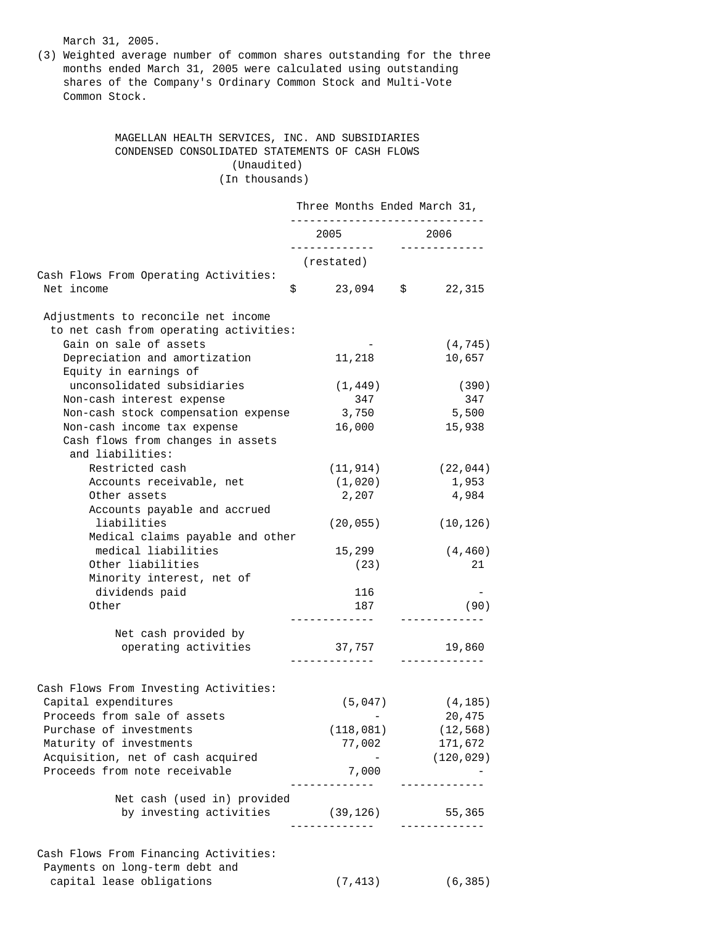March 31, 2005.

(3) Weighted average number of common shares outstanding for the three months ended March 31, 2005 were calculated using outstanding shares of the Company's Ordinary Common Stock and Multi-Vote Common Stock.

## MAGELLAN HEALTH SERVICES, INC. AND SUBSIDIARIES CONDENSED CONSOLIDATED STATEMENTS OF CASH FLOWS (Unaudited) (In thousands)

|                                        |      |              |      | Three Months Ended March 31, |
|----------------------------------------|------|--------------|------|------------------------------|
|                                        | 2005 |              | 2006 |                              |
|                                        |      | (restated)   |      |                              |
| Cash Flows From Operating Activities:  |      |              |      |                              |
| Net income<br>\$                       |      | 23,094       | \$   | 22,315                       |
| Adjustments to reconcile net income    |      |              |      |                              |
| to net cash from operating activities: |      |              |      |                              |
| Gain on sale of assets                 |      |              |      | (4, 745)                     |
| Depreciation and amortization          |      | 11,218       |      | 10,657                       |
| Equity in earnings of                  |      |              |      |                              |
| unconsolidated subsidiaries            |      | (1, 449)     |      | (390)                        |
| Non-cash interest expense              |      | 347          |      | 347                          |
| Non-cash stock compensation expense    |      | 3,750        |      | 5,500                        |
| Non-cash income tax expense            |      | 16,000       |      | 15,938                       |
| Cash flows from changes in assets      |      |              |      |                              |
| and liabilities:                       |      |              |      |                              |
| Restricted cash                        |      | (11, 914)    |      | (22, 044)                    |
| Accounts receivable, net               |      | (1,020)      |      | 1,953                        |
| Other assets                           |      | 2,207        |      | 4,984                        |
| Accounts payable and accrued           |      |              |      |                              |
| liabilities                            |      | (20, 055)    |      | (10, 126)                    |
| Medical claims payable and other       |      |              |      |                              |
| medical liabilities                    |      | 15,299       |      | (4, 460)                     |
| Other liabilities                      |      | (23)         |      | 21                           |
| Minority interest, net of              |      |              |      |                              |
| dividends paid                         |      | 116          |      |                              |
| Other                                  |      | 187          |      | (90)                         |
| Net cash provided by                   |      |              |      |                              |
| operating activities                   |      | 37,757       |      | 19,860                       |
|                                        |      | . <u>.</u> . |      |                              |
| Cash Flows From Investing Activities:  |      |              |      |                              |
| Capital expenditures                   |      | (5,047)      |      | (4, 185)                     |
| Proceeds from sale of assets           |      |              |      | 20,475                       |
| Purchase of investments                |      | (118, 081)   |      | (12, 568)                    |
| Maturity of investments                |      | 77,002       |      | 171,672                      |
| Acquisition, net of cash acquired      |      |              |      | (120, 029)                   |
| Proceeds from note receivable          |      | 7,000        |      |                              |
| Net cash (used in) provided            |      |              |      |                              |
| by investing activities (39,126)       |      |              |      | 55,365                       |
|                                        |      |              |      | ___________                  |
| Cash Flows From Financing Activities:  |      |              |      |                              |
| Payments on long-term debt and         |      |              |      |                              |
| capital lease obligations              |      | (7, 413)     |      | (6, 385)                     |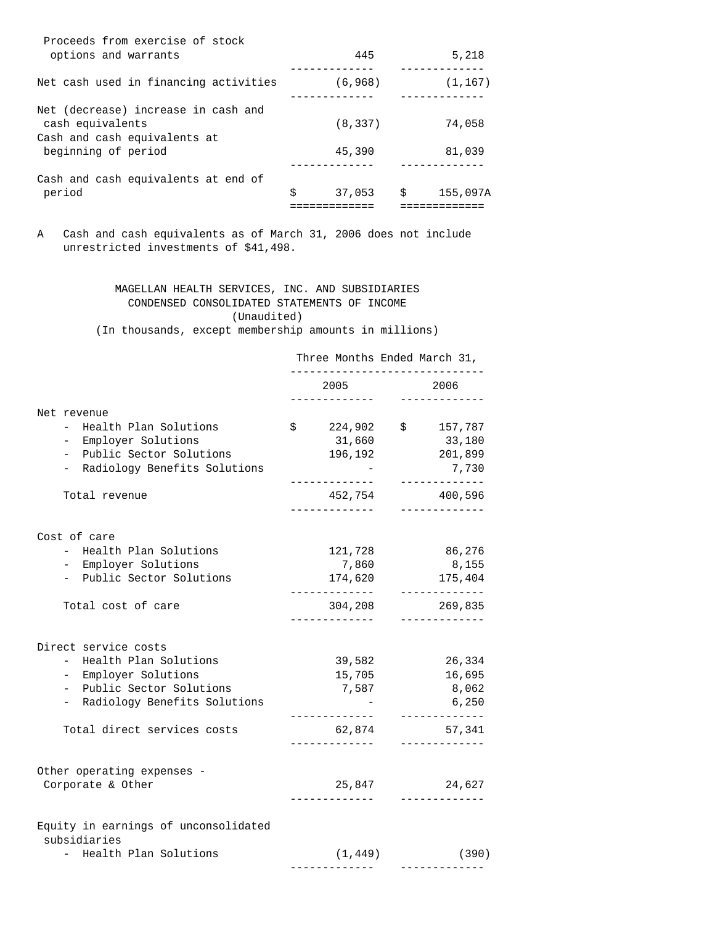| Proceeds from exercise of stock<br>options and warrants                                 | 445          | 5,218          |
|-----------------------------------------------------------------------------------------|--------------|----------------|
| Net cash used in financing activities                                                   | (6, 968)     | (1, 167)       |
| Net (decrease) increase in cash and<br>cash equivalents<br>Cash and cash equivalents at | (8, 337)     | 74,058         |
| beginning of period                                                                     | 45,390       | 81,039         |
| Cash and cash equivalents at end of                                                     |              |                |
| period                                                                                  | \$<br>37,053 | \$<br>155,097A |
|                                                                                         |              |                |

A Cash and cash equivalents as of March 31, 2006 does not include unrestricted investments of \$41,498.

> MAGELLAN HEALTH SERVICES, INC. AND SUBSIDIARIES CONDENSED CONSOLIDATED STATEMENTS OF INCOME (Unaudited)

(In thousands, except membership amounts in millions)

|                                                                                                     | Three Months Ended March 31,       |                                            |  |  |
|-----------------------------------------------------------------------------------------------------|------------------------------------|--------------------------------------------|--|--|
|                                                                                                     | 2005                               | 2006                                       |  |  |
| Net revenue<br>Health Plan Solutions<br>Employer Solutions<br>$-$<br>Public Sector Solutions<br>$-$ | \$<br>224,902<br>31,660<br>196,192 | $\ddot{s}$<br>157,787<br>33,180<br>201,899 |  |  |
| Radiology Benefits Solutions<br>-                                                                   |                                    | 7,730                                      |  |  |
| Total revenue                                                                                       | 452,754<br>-------------           | 400,596                                    |  |  |
| Cost of care                                                                                        |                                    |                                            |  |  |
| - Health Plan Solutions                                                                             | 121,728                            | 86,276                                     |  |  |
| - Employer Solutions                                                                                | 7,860                              | 8,155                                      |  |  |
| - Public Sector Solutions                                                                           | 174,620<br>___________             | 175,404<br>-----------                     |  |  |
| Total cost of care                                                                                  | 304,208                            | 269,835<br>___________                     |  |  |
| Direct service costs                                                                                |                                    |                                            |  |  |
| Health Plan Solutions<br>$-$                                                                        | 39,582                             | 26,334                                     |  |  |
| Employer Solutions<br>$-$                                                                           | 15,705                             | 16,695                                     |  |  |
| Public Sector Solutions<br>$-$                                                                      | 7,587                              | 8,062                                      |  |  |
| Radiology Benefits Solutions<br>$\overline{\phantom{0}}$                                            |                                    | 6,250<br>-----------                       |  |  |
| Total direct services costs                                                                         | 62,874                             | 57,341                                     |  |  |
| Other operating expenses -                                                                          |                                    |                                            |  |  |
| Corporate & Other                                                                                   | 25,847                             | 24,627                                     |  |  |
| Equity in earnings of unconsolidated<br>subsidiaries                                                |                                    |                                            |  |  |
| - Health Plan Solutions                                                                             | (1, 449)                           | (390)<br>------------                      |  |  |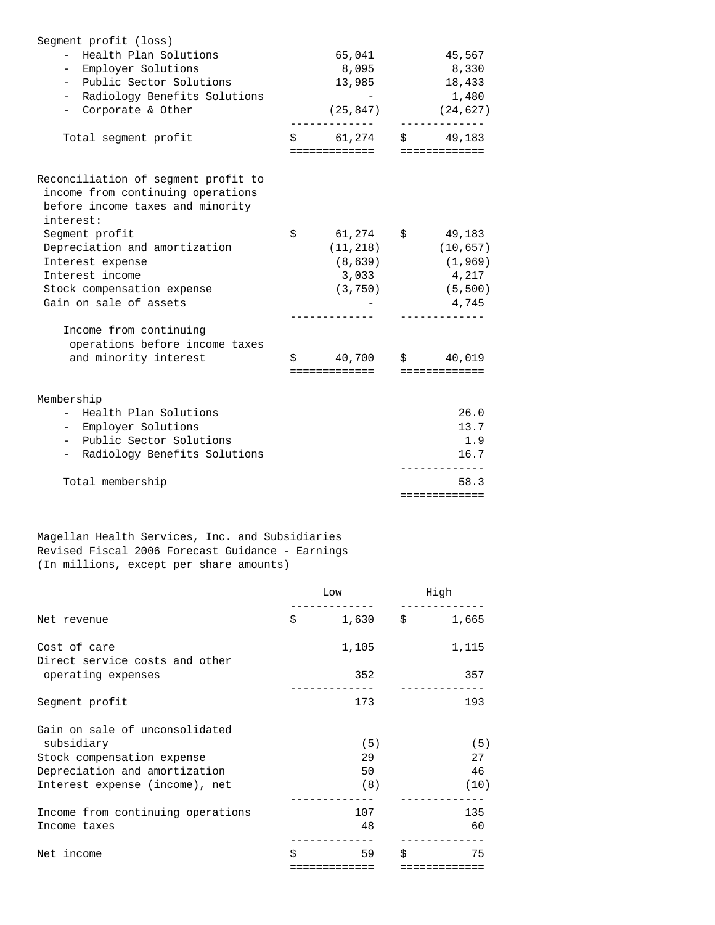| Segment profit (loss)<br>Health Plan Solutions<br>$-$<br>- Employer Solutions<br>- Public Sector Solutions<br>- Radiology Benefits Solutions<br>- Corporate & Other | 65,041<br>8,095<br>13,985<br>$(25, 847)$ $(24, 627)$                   | 45,567<br>8,330<br>18,433<br>1,480                |
|---------------------------------------------------------------------------------------------------------------------------------------------------------------------|------------------------------------------------------------------------|---------------------------------------------------|
| Total segment profit                                                                                                                                                | $$ 61,274 \t $ 49,183$<br>=============                                | =============                                     |
| Reconciliation of segment profit to<br>income from continuing operations<br>before income taxes and minority<br>interest:                                           |                                                                        |                                                   |
| Segment profit<br>Depreciation and amortization<br>Interest expense<br>Interest income<br>Stock compensation expense<br>Gain on sale of assets                      | \$<br>61,274 \$<br>(11, 218)<br>(8,639)<br>3,033<br>$(3, 750)$ (5,500) | 49,183<br>(10, 657)<br>(1, 969)<br>4,217<br>4,745 |
| Income from continuing<br>operations before income taxes<br>and minority interest                                                                                   | $\sin 40,700$ $\sin 40,019$<br>=============                           | =============                                     |
| Membership<br>- Health Plan Solutions<br>- Employer Solutions<br>- Public Sector Solutions<br>- Radiology Benefits Solutions                                        |                                                                        | 26.0<br>13.7<br>1.9<br>16.7                       |
| Total membership                                                                                                                                                    |                                                                        | 58.3<br>=============                             |

Magellan Health Services, Inc. and Subsidiaries Revised Fiscal 2006 Forecast Guidance - Earnings (In millions, except per share amounts)

|                                                | Low |             | High       |       |
|------------------------------------------------|-----|-------------|------------|-------|
| Net revenue                                    | \$  | 1,630       | $\ddot{s}$ | 1,665 |
| Cost of care<br>Direct service costs and other |     | 1,105       |            | 1,115 |
| operating expenses                             |     | 352         |            | 357   |
| Segment profit                                 |     | 173         |            | 193   |
| Gain on sale of unconsolidated                 |     |             |            |       |
| subsidiary                                     |     | (5)         |            | (5)   |
| Stock compensation expense                     |     | 29          |            | 27    |
| Depreciation and amortization                  |     | 50          |            | 46    |
| Interest expense (income), net                 |     | (8)         |            | (10)  |
| Income from continuing operations              |     | 107         |            | 135   |
| Income taxes                                   |     | 48          |            | 60    |
| Net income                                     | \$  | 59          | Ś.         | 75    |
|                                                |     | :========== |            |       |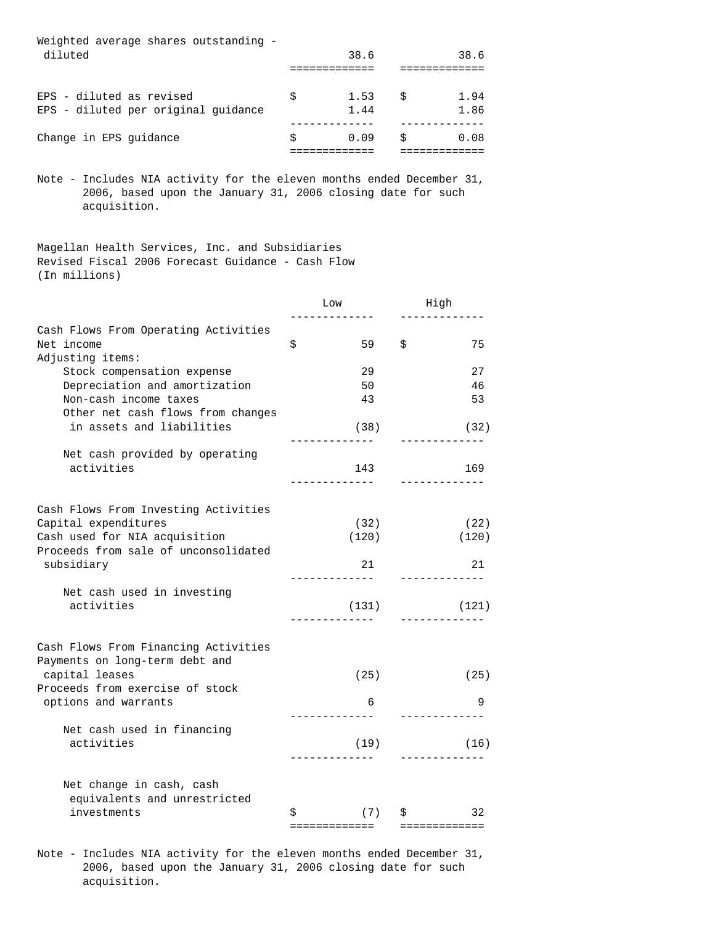| Weighted average shares outstanding - |   |      |   |      |
|---------------------------------------|---|------|---|------|
| diluted                               |   | 38.6 |   | 38.6 |
|                                       |   |      |   |      |
|                                       |   |      |   |      |
| EPS - diluted as revised              | Ŝ | 1.53 | Ŝ | 1.94 |
| EPS - diluted per original quidance   |   | 1.44 |   | 1.86 |
|                                       |   |      |   |      |
| Change in EPS quidance                | Ŝ | 0.09 | Ŝ | 0.08 |
|                                       |   |      |   |      |

Note - Includes NIA activity for the eleven months ended December 31, 2006, based upon the January 31, 2006 closing date for such acquisition.

Magellan Health Services, Inc. and Subsidiaries Revised Fiscal 2006 Forecast Guidance - Cash Flow (In millions)

|                                                             | Low                | High               |  |
|-------------------------------------------------------------|--------------------|--------------------|--|
|                                                             |                    |                    |  |
| Cash Flows From Operating Activities<br>Net income          | \$<br>59           | Ś.<br>75           |  |
| Adjusting items:                                            |                    |                    |  |
| Stock compensation expense<br>Depreciation and amortization | 29<br>50           | 27<br>46           |  |
| Non-cash income taxes                                       | 43                 | 53                 |  |
| Other net cash flows from changes                           |                    |                    |  |
| in assets and liabilities                                   | (38)<br>---------- | (32)<br>---------- |  |
| Net cash provided by operating                              |                    |                    |  |
| activities                                                  | 143                | 169                |  |
|                                                             | ------------       |                    |  |
| Cash Flows From Investing Activities                        |                    |                    |  |
| Capital expenditures                                        | (32)               | (22)               |  |
| Cash used for NIA acquisition                               | (120)              | (120)              |  |
| Proceeds from sale of unconsolidated<br>subsidiary          | 21                 | 21                 |  |
| Net cash used in investing                                  | ------------       |                    |  |
| activities                                                  | (131)              | (121)              |  |
|                                                             |                    |                    |  |
| Cash Flows From Financing Activities                        |                    |                    |  |
| Payments on long-term debt and                              |                    |                    |  |
| capital leases<br>Proceeds from exercise of stock           | (25)               | (25)               |  |
| options and warrants                                        | 6                  | 9                  |  |
|                                                             |                    |                    |  |
| Net cash used in financing                                  |                    |                    |  |
| activities                                                  | (19)               | (16)               |  |
|                                                             |                    |                    |  |
| Net change in cash, cash                                    |                    |                    |  |
| equivalents and unrestricted                                |                    |                    |  |
| investments                                                 | \$<br>(7)          | 32<br>\$           |  |
|                                                             | =============      | =============      |  |

Note - Includes NIA activity for the eleven months ended December 31, 2006, based upon the January 31, 2006 closing date for such acquisition.